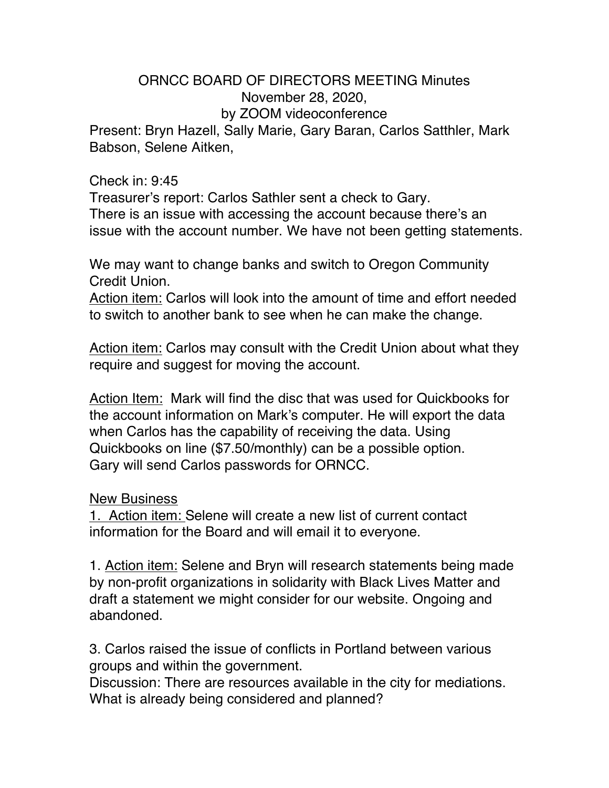## ORNCC BOARD OF DIRECTORS MEETING Minutes November 28, 2020, by ZOOM videoconference

Present: Bryn Hazell, Sally Marie, Gary Baran, Carlos Satthler, Mark Babson, Selene Aitken,

Check in: 9:45

Treasurer's report: Carlos Sathler sent a check to Gary. There is an issue with accessing the account because there's an issue with the account number. We have not been getting statements.

We may want to change banks and switch to Oregon Community Credit Union.

Action item: Carlos will look into the amount of time and effort needed to switch to another bank to see when he can make the change.

Action item: Carlos may consult with the Credit Union about what they require and suggest for moving the account.

Action Item: Mark will find the disc that was used for Quickbooks for the account information on Mark's computer. He will export the data when Carlos has the capability of receiving the data. Using Quickbooks on line (\$7.50/monthly) can be a possible option. Gary will send Carlos passwords for ORNCC.

New Business

1. Action item: Selene will create a new list of current contact information for the Board and will email it to everyone.

1. Action item: Selene and Bryn will research statements being made by non-profit organizations in solidarity with Black Lives Matter and draft a statement we might consider for our website. Ongoing and abandoned.

3. Carlos raised the issue of conflicts in Portland between various groups and within the government.

Discussion: There are resources available in the city for mediations. What is already being considered and planned?